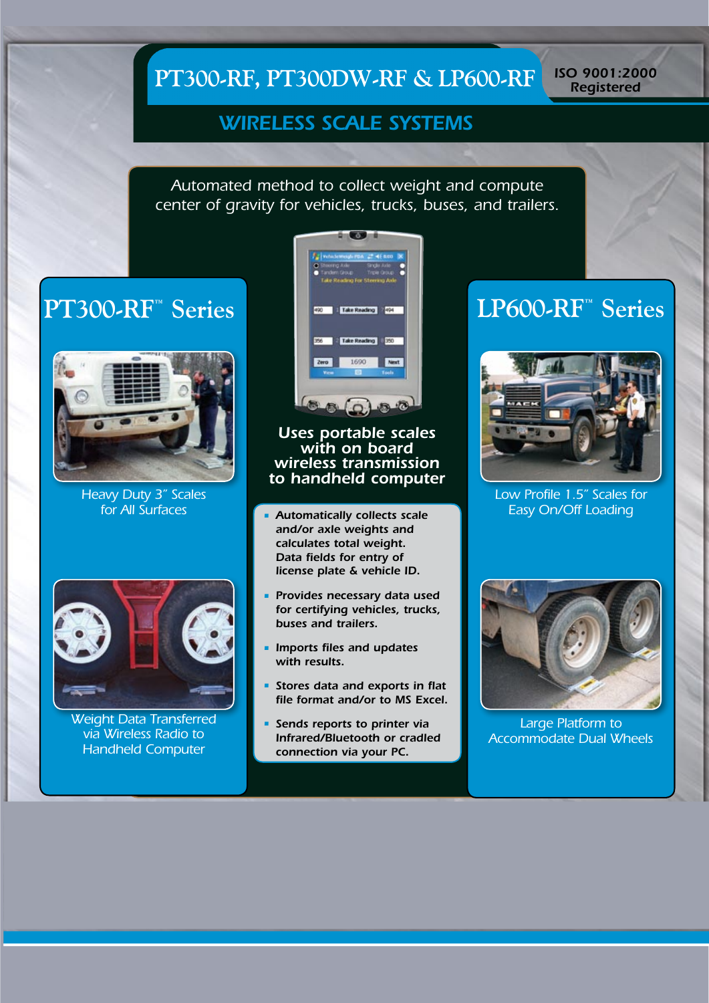### PT300-RF, PT300DW-RF & LP600-RF

ISO 9001:2000 **Registered** 

### **WIRELESS SCALE SYSTEMS**

Automated method to collect weight and compute center of gravity for vehicles, trucks, buses, and trailers.

# PT300-RF<sup>™</sup> Series



**Heavy Duty 3" Scales** for All Surfaces



Weight Data Transferred via Wireless Radio to **Handheld Computer** 

|      | Vehicle weigh FDA 27 4 EB00 DK<br>Sheering Adv. Single Ade  |                  |      |
|------|-------------------------------------------------------------|------------------|------|
|      | Tanden Group Triple Group<br>Take Reading For Steering Axle |                  |      |
|      | 490   Take Reading   494                                    |                  |      |
| 356  |                                                             | Take Reading 350 |      |
| Zero | 1690                                                        |                  | Next |
| View | $\circ$                                                     | <b>Tools</b>     |      |

**Uses portable scales** with on board wireless transmission to handheld computer

- **Automatically collects scale** and/or axle weights and calculates total weight. Data fields for entry of license plate & vehicle ID.
- Provides necessary data used for certifying vehicles, trucks, buses and trailers.
- Imports files and updates with results.
- Stores data and exports in flat file format and/or to MS Excel.
- Sends reports to printer via Infrared/Bluetooth or cradled connection via your PC.

## LP600-RF<sup>™</sup> Series



Low Profile 1.5" Scales for Easy On/Off Loading



Large Platform to **Accommodate Dual Wheels**